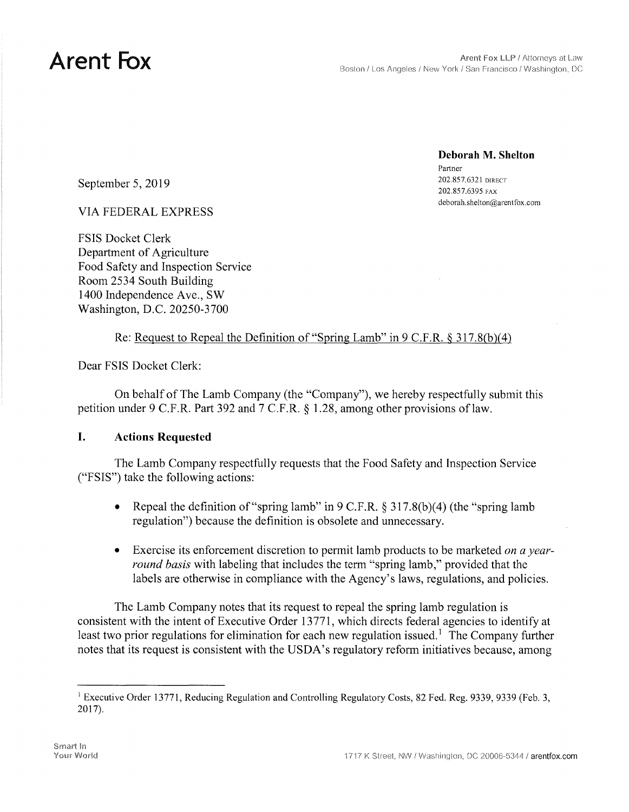**Deborah M. Shelton**  Partner 202.857.6395 FAX [deborah.shelton@arentfox.com](mailto:deborah.shelton@arentfox.com) 

**202.857.6321 DIRECT** 202.857.6321 DIRECT

VIA FEDERAL EXPRESS

FSIS Docket Clerk Department of Agriculture Food Safety and Inspection Service Room 2534 South Building 1400 Independence Ave., SW Washington, D.C. 20250-3700

### Re: Request to Repeal the Definition of "Spring Lamb" in  $9 \text{ C.F.R.} \$   $317.8(b)(4)$

Dear FSIS Docket Clerk:

On behalf of The Lamb Company (the "Company"), we hereby respectfully submit this petition under 9 C.F.R. Part 392 and 7 C.F.R. § 1.28, among other provisions of law.

### **I. Actions Requested**

The Lamb Company respectfully requests that the Food Safety and Inspection Service ("FSIS") take the following actions:

- Repeal the definition of "spring lamb" in  $9 \text{ C.F.R.}$  § 317.8(b)(4) (the "spring lamb" regulation") because the definition is obsolete and unnecessary.
- Exercise its enforcement discretion to permit lamb products to be marketed *on a yearround basis* with labeling that includes the term "spring lamb," provided that the labels are otherwise in compliance with the Agency's laws, regulations, and policies.

The Lamb Company notes that its request to repeal the spring lamb regulation is consistent with the intent of Executive Order 13771, which directs federal agencies to identify at least two prior regulations for elimination for each new regulation issued.<sup>1</sup> The Company further notes that its request is consistent with the USDA's regulatory reform initiatives because, among

<sup>&</sup>lt;sup>1</sup> Executive Order 13771, Reducing Regulation and Controlling Regulatory Costs, 82 Fed. Reg. 9339, 9339 (Feb. 3, 2017).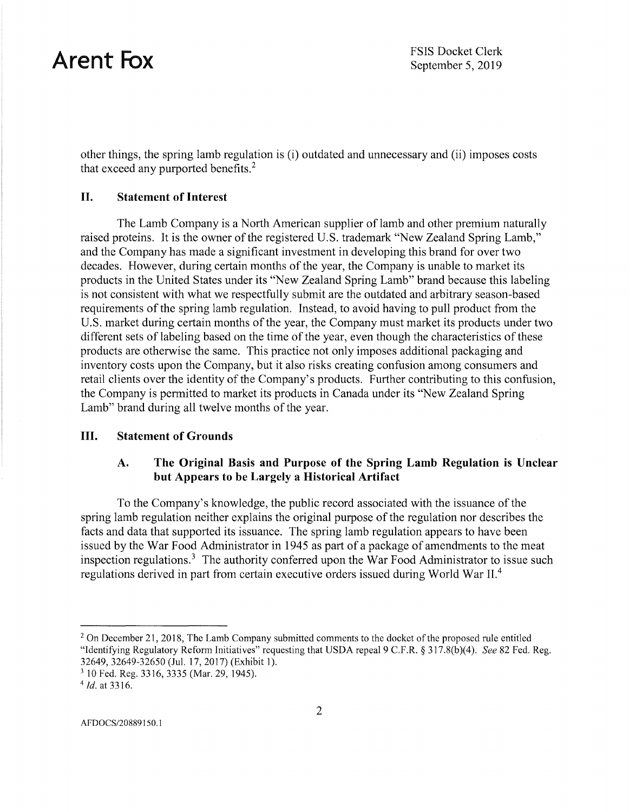other things, the spring lamb regulation is (i) outdated and unnecessary and (ii) imposes costs that exceed any purported benefits.<sup>2</sup>

### **II. Statement of Interest**

The Lamb Company is a North American supplier of lamb and other premium naturally raised proteins. It is the owner of the registered U.S. trademark "New Zealand Spring Lamb," and the Company has made a significant investment in developing this brand for over two decades. However, during certain months of the year, the Company is unable to market its products in the United States under its "New Zealand Spring Lamb" brand because this labeling is not consistent with what we respectfully submit are the outdated and arbitrary season-based requirements of the spring lamb regulation. Instead, to avoid having to pull product from the U.S. market during certain months of the year, the Company must market its products under two different sets of labeling based on the time of the year, even though the characteristics of these products are otherwise the same. This practice not only imposes additional packaging and inventory costs upon the Company, but it also risks creating confusion among consumers and retail clients over the identity of the Company's products. Further contributing to this confusion, the Company is permitted to market its products in Canada under its "New Zealand Spring Lamb" brand during all twelve months of the year.

### **III. Statement of Grounds**

### **A. The Original Basis and Purpose of the Spring Lamb Regulation is Unclear but Appears to be Largely a Historical Artifact**

To the Company's knowledge, the public record associated with the issuance of the spring lamb regulation neither explains the original purpose of the regulation nor describes the facts and data that supported its issuance. The spring lamb regulation appears to have been issued by the War Food Administrator in 1945 as part of a package of amendments to the meat inspection regulations.<sup>3</sup> The authority conferred upon the War Food Administrator to issue such regulations derived in part from certain executive orders issued during World War II.<sup>4</sup>

<sup>&</sup>lt;sup>2</sup> On December 21, 2018, The Lamb Company submitted comments to the docket of the proposed rule entitled "Identifying Regulatory Reform Initiatives" requesting that USDA repeal 9 C.F.R. § 3 l 7.8(b)(4). *See* 82 Fed. Reg. 32649, 32649-32650 (Jul. 17, 2017) (Exhibit I). 3 IO Fed. Reg. 3316, 3335 (Mar. 29, 1945).

<sup>4</sup>*Id.* at 3316.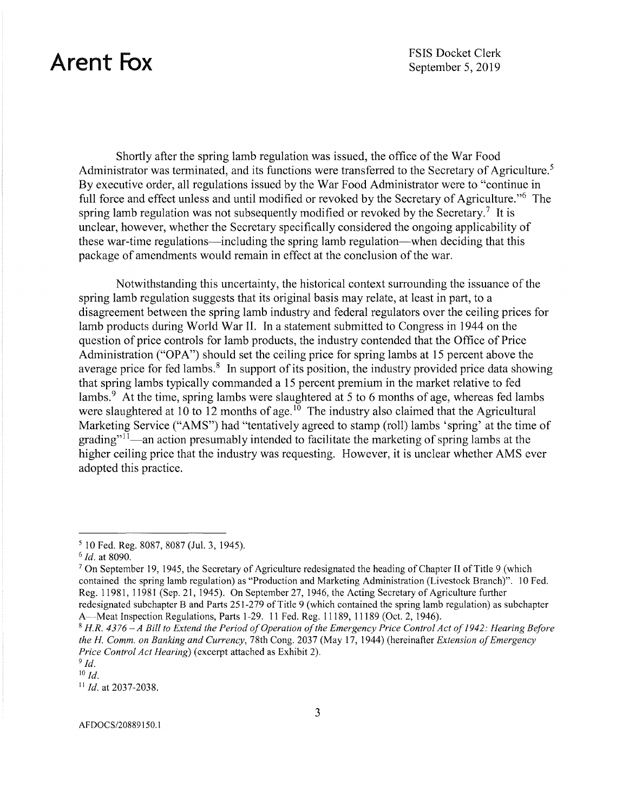Shortly after the spring lamb regulation was issued, the office of the War Food Administrator was terminated, and its functions were transferred to the Secretary of Agriculture.<sup>5</sup> By executive order, all regulations issued by the War Food Administrator were to "continue in full force and effect unless and until modified or revoked by the Secretary of Agriculture.<sup>16</sup> The spring lamb regulation was not subsequently modified or revoked by the Secretary.<sup>7</sup> It is unclear, however, whether the Secretary specifically considered the ongoing applicability of these war-time regulations—including the spring lamb regulation—when deciding that this package of amendments would remain in effect at the conclusion of the war.

Notwithstanding this uncertainty, the historical context surrounding the issuance of the spring lamb regulation suggests that its original basis may relate, at least in part, to a disagreement between the spring lamb industry and federal regulators over the ceiling prices for lamb products during World War II. In a statement submitted to Congress in 1944 on the question of price controls for lamb products, the industry contended that the Office of Price Administration ("OPA") should set the ceiling price for spring lambs at  $15$  percent above the average price for fed lambs.<sup>8</sup> In support of its position, the industry provided price data showing that spring lambs typically commanded a 15 percent premium in the market relative to fed lambs.<sup>9</sup> At the time, spring lambs were slaughtered at 5 to 6 months of age, whereas fed lambs were slaughtered at  $10$  to  $12$  months of age.<sup>10</sup> The industry also claimed that the Agricultural Marketing Service ("AMS") had "tentatively agreed to stamp (roll) lambs 'spring' at the time of grading"<sup>11</sup>-an action presumably intended to facilitate the marketing of spring lambs at the higher ceiling price that the industry was requesting. However, it is unclear whether AMS ever adopted this practice.

 $^{10}$  *Id.* 

<sup>11</sup>*Id.* at 2037-2038.

AFDOCS/20889150.1

*<sup>5</sup>* 10 Fed. Reg. 8087, 8087 (Jul. 3, 1945).

<sup>&</sup>lt;sup>7</sup> On September 19, 1945, the Secretary of Agriculture redesignated the heading of Chapter II of Title 9 (which contained the spring lamb regulation) as "Production and Marketing Administration (Livestock Branch)". 10 Fed. Reg. 11981, 11981 (Sep. 21, 1945). On September 27, 1946, the Acting Secretary of Agriculture further redesignated subchapter B and Parts 251-279 of Title 9 (which contained the spring lamb regulation) as subchapter A-Meat Inspection Regulations, Parts 1-29. 11 Fed. Reg. 11189, 11189 (Oct. 2, 1946).

<sup>8</sup>*H.R. 4376-A Bill to Extend the Period ofOperation ofthe Emergency Price Control Act of1942: Hearing Before the H. Comm. on Banking and Currency,* 78th Cong. 2037 (May 17, 1944) (hereinafter *Extension ofEmergency Price Control Act Hearing)* ( excerpt attached as Exhibit 2).

<sup>9</sup>*Id.*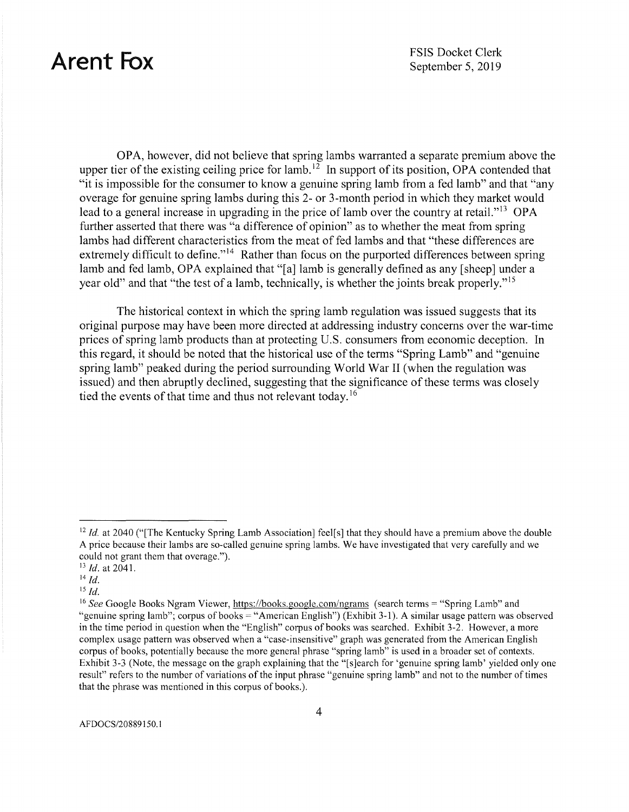OPA, however, did not believe that spring lambs warranted a separate premium above the upper tier of the existing ceiling price for lamb.<sup>12</sup> In support of its position, OPA contended that "it is impossible for the consumer to know a genuine spring lamb from a fed lamb" and that "any overage for genuine spring lambs during this 2- or 3-month period in which they market would lead to a general increase in upgrading in the price of lamb over the country at retail."<sup>13</sup> OPA further asserted that there was "a difference of opinion" as to whether the meat from spring lambs had different characteristics from the meat of fed lambs and that "these differences are extremely difficult to define."<sup> $14$ </sup> Rather than focus on the purported differences between spring lamb and fed lamb, OPA explained that "[a] lamb is generally defined as any [sheep] under a year old" and that "the test of a lamb, technically, is whether the joints break properly."<sup>15</sup>

The historical context in which the spring lamb regulation was issued suggests that its original purpose may have been more directed at addressing industry concerns over the war-time prices of spring lamb products than at protecting U.S. consumers from economic deception. In this regard, it should be noted that the historical use of the terms "Spring Lamb" and "genuine spring lamb" peaked during the period surrounding World War II (when the regulation was issued) and then abruptly declined, suggesting that the significance of these terms was closely tied the events of that time and thus not relevant today.<sup>16</sup>

<sup>&</sup>lt;sup>12</sup> *Id.* at 2040 ("The Kentucky Spring Lamb Association] feel[s] that they should have a premium above the double A price because their lambs are so-called genuine spring lambs. We have investigated that very carefully and we could not grant them that overage."). 13 *Id.* at 2041.

<sup>14</sup>*Id.* 

is *Id.* 

<sup>&</sup>lt;sup>16</sup> See Google Books Ngram Viewer, <https://books.google.com/ngrams> (search terms = "Spring Lamb" and "genuine spring lamb"; corpus of books= "American English") (Exhibit 3-1). A similar usage pattern was observed in the time period in question when the "English" corpus of books was searched. Exhibit 3-2. However, a more complex usage pattern was observed when a "case-insensitive" graph was generated from the American English corpus of books, potentially because the more general phrase "spring lamb" is used in a broader set of contexts. Exhibit 3-3 (Note, the message on the graph explaining that the "[s]earch for 'genuine spring lamb' yielded only one result" refers to the number of variations of the input phrase "genuine spring lamb" and not to the number of times that the phrase was mentioned in this corpus of books.).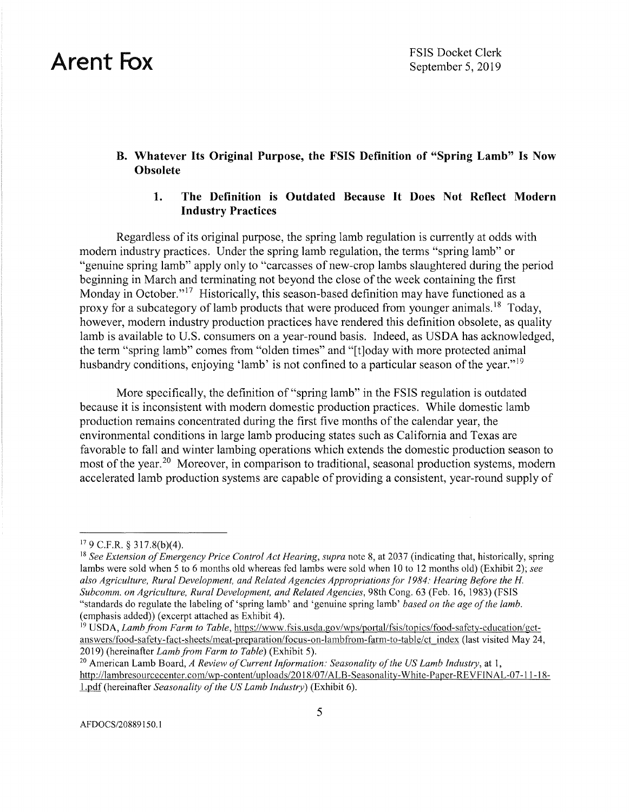### **B. Whatever Its Original Purpose, the FSIS Definition of "Spring Lamb" Is Now Obsolete**

### **1. The Definition is Outdated Because It Does Not Reflect Modern Industry Practices**

Regardless of its original purpose, the spring lamb regulation is currently at odds with modem industry practices. Under the spring lamb regulation, the terms "spring lamb" or "genuine spring lamb" apply only to "carcasses of new-crop lambs slaughtered during the period beginning in March and terminating not beyond the close of the week containing the first Monday in October."<sup>17</sup> Historically, this season-based definition may have functioned as a proxy for a subcategory of lamb products that were produced from younger animals.<sup>18</sup> Today, however, modem industry production practices have rendered this definition obsolete, as quality lamb is available to U.S. consumers on a year-round basis. Indeed, as USDA has acknowledged, the term "spring lamb" comes from "olden times" and "[t]oday with more protected animal husbandry conditions, enjoying 'lamb' is not confined to a particular season of the year."<sup>19</sup>

More specifically, the definition of "spring lamb" in the FSIS regulation is outdated because it is inconsistent with modem domestic production practices. While domestic lamb production remains concentrated during the first five months of the calendar year, the environmental conditions in large lamb producing states such as California and Texas are favorable to fall and winter lambing operations which extends the domestic production season to most of the year.<sup>20</sup> Moreover, in comparison to traditional, seasonal production systems, modern accelerated lamb production systems are capable of providing a consistent, year-round supply of

 $179$  C.F.R. § 317.8(b)(4).

<sup>&</sup>lt;sup>18</sup> See Extension of Emergency Price Control Act Hearing, supra note 8, at 2037 (indicating that, historically, spring lambs were sold when 5 to 6 months old whereas fed lambs were sold when 10 to 12 months old) (Exhibit 2); *see also Agriculture, Rural Development, and Related Agencies Appropriations for 1984: Hearing Before the H. Subcomm. on Agriculture, Rural Development, and Related Agencies,* 98th Cong. 63 (Feb. 16, 1983) (FSIS "standards do regulate the labeling of 'spring lamb' and 'genuine spring lamb' *based on the age of the lamb*. ( emphasis added)) ( excerpt attached as Exhibit 4).

<sup>19</sup> USDA, *Lamb from Farm to Table,* <https://www.fsis.usda.gov/wps/portal/fsis/topics/food-safety-education/get>answers/food-safety-fact-sheets/meat-preparation/focus-on-lambfrom-farm-to-table/ct index (last visited May 24, 2019) (hereinafter *Lamb from Farm to Table)* (Exhibit 5). 20 American Lamb Board, *A Review ofCurrent Information: Seasonality ofthe US Lamb Industry,* at 1,

<http://lambresourcecenter.com/wp-content/uploads/2018/07>/ALB-Seasonality-White-Paper-REVFINAL-07-11-18-1.pdf (hereinafter *Seasonality of the US Lamb Industry*) (Exhibit 6).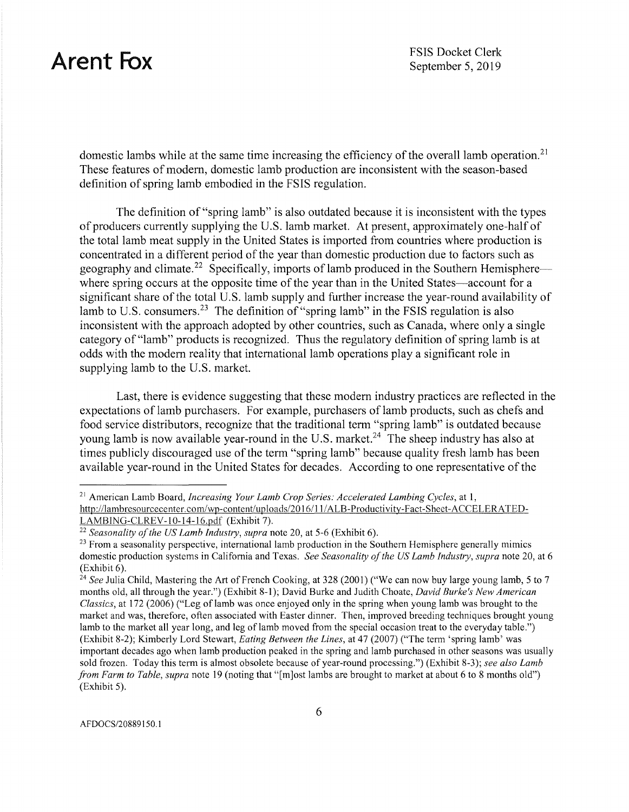domestic lambs while at the same time increasing the efficiency of the overall lamb operation.<sup>21</sup> These features of modem, domestic lamb production are inconsistent with the season-based definition of spring lamb embodied in the FSIS regulation.

The definition of "spring lamb" is also outdated because it is inconsistent with the types of producers currently supplying the U.S. lamb market. At present, approximately one-half of the total lamb meat supply in the United States is imported from countries where production is concentrated in a different period of the year than domestic production due to factors such as geography and climate.<sup>22</sup> Specifically, imports of lamb produced in the Southern Hemisphere-where spring occurs at the opposite time of the year than in the United States—account for a significant share of the total U.S. lamb supply and further increase the year-round availability of lamb to U.S. [consumers.](https://consumers.23)<sup>23</sup> The definition of "spring lamb" in the FSIS regulation is also inconsistent with the approach adopted by other countries, such as Canada, where only a single category of "lamb" products is recognized. Thus the regulatory definition of spring lamb is at odds with the modern reality that international lamb operations play a significant role in supplying lamb to the U.S. market.

Last, there is evidence suggesting that these modern industry practices are reflected in the expectations of lamb purchasers. For example, purchasers of lamb products, such as chefs and food service distributors, recognize that the traditional term "spring lamb" is outdated because young lamb is now available year-round in the U.S. [market.](https://market.24)<sup>24</sup> The sheep industry has also at times publicly discouraged use of the term "spring lamb" because quality fresh lamb has been available year-round in the United States for decades. According to one representative of the

<sup>&</sup>lt;sup>21</sup> American Lamb Board, *Increasing Your Lamb Crop Series: Accelerated Lambing Cycles*, at 1, [http://lambresourcecenter.com/wp-content/uploads/2016/](http://lambresourcecenter.com/wp-content/uploads/2016) 11 /ALB-Productivity-Fact-Sheet-ACCELERATED-

LAMBING-CLREV-10-14-16.pdf (Exhibit 7).<br><sup>22</sup> Seasonality of the US Lamb Industry, supra note 20, at 5-6 (Exhibit 6).<br><sup>23</sup> From a seasonality perspective, international lamb production in the Southern Hemisphere generally domestic production systems in California and Texas. *See Seasonality of the US Lamb Industry, supra* note 20, at 6

<sup>(</sup>Exhibit 6). 24 *See* Julia Child, Mastering the Art of French Cooking, at 328 (2001) ("We can now buy large young lamb, 5 to 7 months old, all through the year.") (Exhibit 8-1 ); David Burke and Judith Choate, *David Burke's New American Classics,* at 172 (2006) ("Leg of lamb was once enjoyed only in the spring when young lamb was brought to the market and was, therefore, often associated with Easter dinner. Then, improved breeding techniques brought young lamb to the market all year long, and leg of lamb moved from the special occasion treat to the everyday table.") (Exhibit 8-2); Kimberly Lord Stewart, *Eating Between the lines,* at 47 (2007) ("The term 'spring lamb' was important decades ago when lamb production peaked in the spring and lamb purchased in other seasons was usually sold frozen. Today this term is almost obsolete because of year-round processing.") (Exhibit 8-3); *see also lamb from Farm to Table, supra* note 19 (noting that "[m]ost lambs are brought to market at about 6 to 8 months old") (Exhibit 5).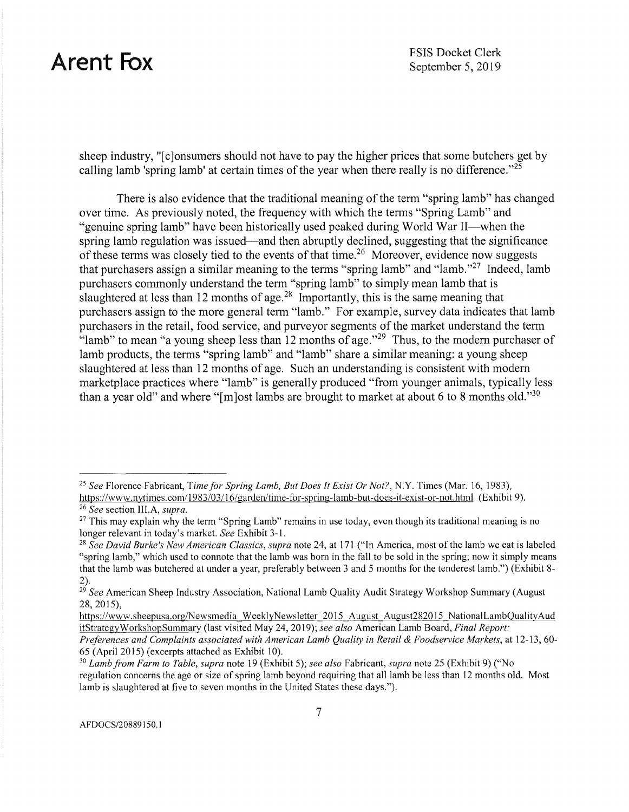sheep industry, "[c ]onsumers should not have to pay the higher prices that some butchers get by calling lamb 'spring lamb' at certain times of the year when there really is no difference."<sup>25</sup>

There is also evidence that the traditional meaning of the term "spring lamb" has changed over time. As previously noted, the frequency with which the terms "Spring Lamb" and "genuine spring lamb" have been historically used peaked during World War II—when the spring lamb regulation was issued—and then abruptly declined, suggesting that the significance of these terms was closely tied to the events of that time.<sup>26</sup> Moreover, evidence now suggests that purchasers assign a similar meaning to the terms "spring lamb" and "lamb."<sup>27</sup> Indeed, lamb purchasers commonly understand the term "spring lamb" to simply mean lamb that is slaughtered at less than 12 months of age.<sup>28</sup> Importantly, this is the same meaning that purchasers assign to the more general term "lamb." For example, survey data indicates that lamb purchasers in the retail, food service, and purveyor segments of the market understand the term "lamb" to mean "a young sheep less than  $12$  months of age."<sup>29</sup> Thus, to the modern purchaser of lamb products, the terms "spring lamb" and "lamb" share a similar meaning: a young sheep slaughtered at less than 12 months of age. Such an understanding is consistent with modem marketplace practices where "lamb" is generally produced "from younger animals, typically less than a year old" and where "[m]ost lambs are brought to market at about 6 to 8 months old."<sup>30</sup>

<sup>25</sup>*See* Florence Fabricant, *Time for Spring Lamb, But Does It Exist Or Not?,* N.Y. Times (Mar. 16, 1983),

[https://www.nytimes.com/](https://www.nytimes.com) 1983/03/ 16/ garden/time-for-spring-lamb-but-does-it-exist-or-not. html (Exhibit 9). 26 *See* section III.A, *supra.* 

<sup>&</sup>lt;sup>27</sup> This may explain why the term "Spring Lamb" remains in use today, even though its traditional meaning is no longer relevant in today's market. *See* Exhibit 3-1. 28 *See David Burke's New American Classics, supra* note 24, at 171 ("In America, most of the lamb we eat is labeled

<sup>&</sup>quot;spring lamb," which used to connote that the lamb was born in the fall to be sold in the spring; now it simply means that the lamb was butchered at under a year, preferably between 3 and 5 months for the tenderest lamb.") (Exhibit 8- 2).

<sup>&</sup>lt;sup>29</sup> See American Sheep Industry Association, National Lamb Quality Audit Strategy Workshop Summary (August 28, 2015),

<https://www.sheepusa.org/Newsmedia> WeeklyNewsletter 2015 August August282015 NationalLambOualityAud itStrategyWorkshopSummary (last visited May 24, 2019); *see also* American Lamb Board, *Final Report:* 

*Preferences and Complaints associated with American Lamb Quality in Retail & Foodservice Markets,* at 12-13, 60- 65 (April 2015) ( excerpts attached as Exhibit 10).

<sup>30</sup>*Lamb from Farm to Table, supra* note 19 (Exhibit 5); *see also* Fabricant, *supra* note 25 (Exhibit 9) ("No regulation concerns the age or size of spring lamb beyond requiring that all lamb be less than 12 months old. Most lamb is slaughtered at five to seven months in the United States these days.").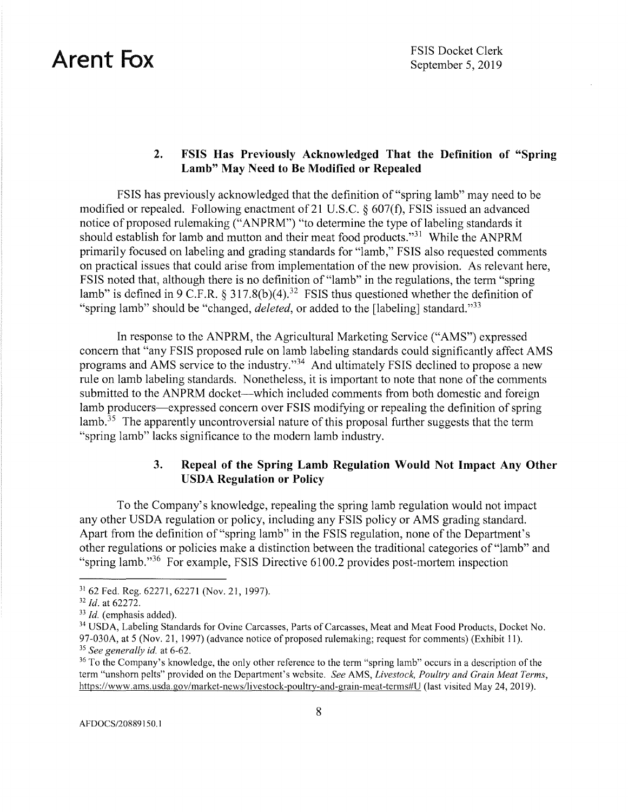### **2. FSIS Has Previously Acknowledged That the Definition of "Spring Lamb" May Need to Be Modified or Repealed**

FSIS has previously acknowledged that the definition of "spring lamb" may need to be modified or repealed. Following enactment of 21 U.S.C.  $\S$  607(f), FSIS issued an advanced notice of proposed rulemaking ("ANPRM") "to determine the type of labeling standards it should establish for lamb and mutton and their meat food products."31 While the ANPRM primarily focused on labeling and grading standards for "lamb," FSIS also requested comments on practical issues that could arise from implementation of the new provision. As relevant here, FSIS noted that, although there is no definition of "lamb" in the regulations, the term "spring lamb" is defined in 9 C.F.R. § [317.8\(b\)\(4\).](https://317.8(b)(4).32)<sup>32</sup> FSIS thus questioned whether the definition of "spring lamb" should be "changed, *deleted,* or added to the [labeling] standard."33

In response to the ANPRM, the Agricultural Marketing Service ("AMS") expressed concern that "any FSIS proposed rule on lamb labeling standards could significantly affect AMS programs and AMS service to the industry."<sup>34</sup> And ultimately FSIS declined to propose a new rule on lamb labeling standards. Nonetheless, it is important to note that none of the comments submitted to the ANPRM docket—which included comments from both domestic and foreign lamb producers—expressed concern over FSIS modifying or repealing the definition of spring lamb.  $35$  The apparently uncontroversial nature of this proposal further suggests that the term "spring lamb" lacks significance to the modern lamb industry.

### **3. Repeal of the Spring Lamb Regulation Would Not Impact Any Other USDA Regulation or Policy**

To the Company's knowledge, repealing the spring lamb regulation would not impact any other USDA regulation or policy, including any FSIS policy or AMS grading standard. Apart from the definition of"spring lamb" in the FSIS regulation, none of the Department's other regulations or policies make a distinction between the traditional categories of "lamb" and "spring lamb."36 For example, FSIS Directive 6100.2 provides post-mortem inspection

<sup>&</sup>lt;sup>31</sup> 62 Fed. Reg. 62271, 62271 (Nov. 21, 1997).<br><sup>32</sup> *Id.* at 62272.<br><sup>33</sup> *Id.* (emphasis added).<br><sup>34</sup> USDA, Labeling Standards for Ovine Carcasses, Parts of Carcasses, Meat and Meat Food Products, Docket No. 97-030A, at 5 (Nov. 21, 1997) (advance notice of proposed rulemaking; request for comments) (Exhibit 11).<br><sup>35</sup> See generally id. at 6-62.<br><sup>36</sup> To the Company's knowledge, the only other reference to the term "spring lamb"

term "unshorn pelts" provided on the Department's website. *See* AMS, *Livestock, Poultry and Grain Meat Terms,*  <https://www.ams.usda.gov/market-news/li>vestock-poultry-and-grain-meat-terms#U (last visited May 24, 2019).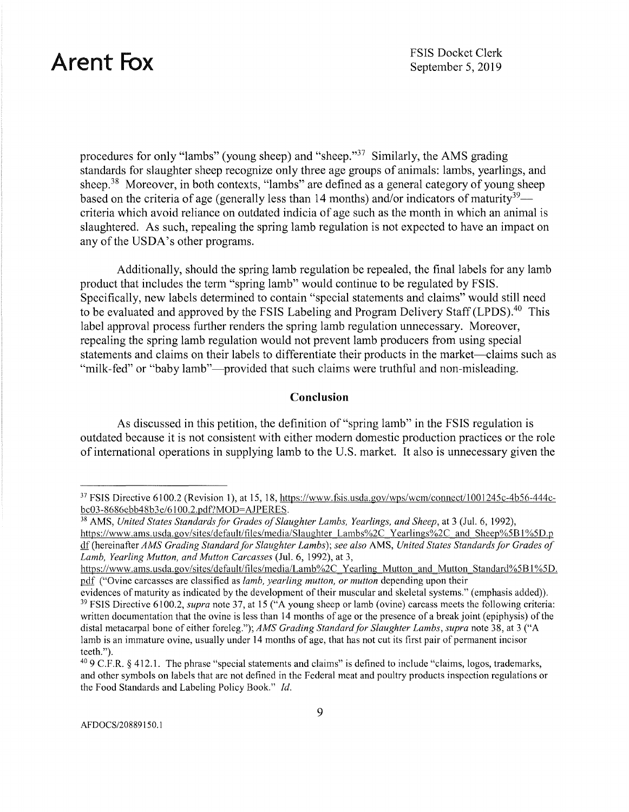procedures for only "lambs" (young sheep) and "sheep."37 Similarly, the AMS grading standards for slaughter sheep recognize only three age groups of animals: lambs, yearlings, and sheep.<sup>38</sup> Moreover, in both contexts, "lambs" are defined as a general category of young sheep based on the criteria of age (generally less than 14 months) and/or indicators of maturity<sup>39</sup> criteria which avoid reliance on outdated indicia of age such as the month in which an animal is slaughtered. As such, repealing the spring lamb regulation is not expected to have an impact on any of the USDA's other programs.

Additionally, should the spring lamb regulation be repealed, the final labels for any lamb product that includes the term "spring lamb" would continue to be regulated by FSIS. Specifically, new labels determined to contain "special statements and claims" would still need to be evaluated and approved by the FSIS Labeling and Program Delivery Staff ([LPDS\).](https://LPDS).40)<sup>40</sup> This label approval process further renders the spring lamb regulation unnecessary. Moreover, repealing the spring lamb regulation would not prevent lamb producers from using special statements and claims on their labels to differentiate their products in the market—claims such as "milk-fed" or "baby lamb"—provided that such claims were truthful and non-misleading.

#### **Conclusion**

As discussed in this petition, the definition of "spring lamb" in the FSIS regulation is outdated because it is not consistent with either modern domestic production practices or the role of international operations in supplying lamb to the U.S. market. It also is unnecessary given the

<sup>&</sup>lt;sup>37</sup> FSIS Directive 6100.2 (Revision 1), at 15, 18, <https://www.fsis.usda.gov/wps/wcm/connect/100>1245c-4b56-444c-<br>bc03-8686ebb48b3e/6100.2.pdf?MOD=AJPERES.

<sup>&</sup>lt;sup>38</sup> AMS, United States Standards for Grades of Slaughter Lambs, Yearlings, and Sheep, at 3 (Jul. 6, 1992), <https://www.ams.usda.gov/sites/default/files/media/Slaughter> Lambs%2C Yearlings%2C and Sheep%58 I %5D.p df (hereinafter *AMS Grading Standard for Slaughter Lambs); see also* **AMS,** *United States Standards for Grades of Lamb, Yearling Mutton, and Mutton Carcasses* (Jul. 6, 1992), at 3,

https://www.ams.usda.gov/sites/default/files/media/Lamb%2C\_Yearling\_Mutton\_and\_Mutton\_Standard%5B1%5D. pill' ("Ovine carcasses are classified as *lamb, yearling mutton, or mutton* depending upon their

evidences of maturity as indicated by the development of their muscular and skeletal systems." (emphasis added)).<br><sup>39</sup> FSIS Directive 6100.2, *supra* note 37, at 15 ("A young sheep or lamb (ovine) carcass meets the followi written documentation that the ovine is less than 14 months of age or the presence of a break joint (epiphysis) of the distal metacarpal bone of either foreleg."); *AMS Grading Standard for Slaughter Lambs, supra* note 38, at 3 ("A lamb is an immature ovine, usually under 14 months of age, that has not cut its first pair of permanent incisor teeth.").

<sup>40 9</sup> C.F.R. § 412.1. The phrase "special statements and claims" is defined to include "claims, logos, trademarks, and other symbols on labels that are not defined in the Federal meat and poultry products inspection regulations or the Food Standards and Labeling Policy Book." *Id.*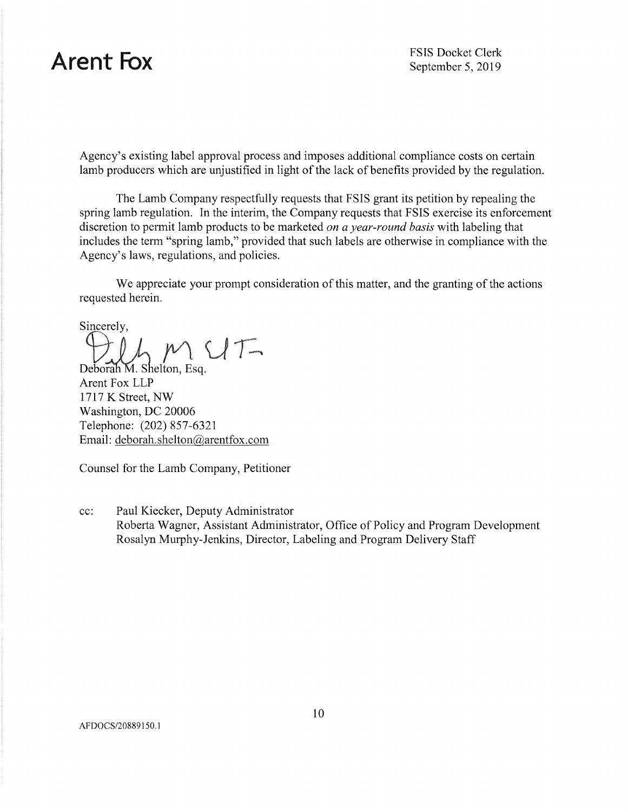Agency's existing label approval process and imposes additional compliance costs on certain lamb producers which are unjustified in light of the lack of benefits provided by the regulation.

The Lamb Company respectfully requests that FSIS grant its petition by repealing the spring lamb regulation. In the interim, the Company requests that FSIS exercise its enforcement discretion to permit lamb products to be marketed *on a year-round basis* with labeling that includes the term "spring lamb," provided that such labels are otherwise in compliance with the Agency's laws, regulations, and policies.

We appreciate your prompt consideration of this matter, and the granting of the actions requested herein.

Sincerely,

Deborah M. Shelton, Esq.

Arent Fox LLP 1717 K Street, NW Washington, DC 20006 Telephone: (202) 857-6321 Email: [deborah.shelton@arentfox.com](mailto:deborah.shelton@arentfox.com) 

Counsel for the Lamb Company, Petitioner

cc: Paul Kiecker, Deputy Administrator Roberta Wagner, Assistant Administrator, Office of Policy and Program Development Rosalyn Murphy-Jenkins, Director, Labeling and Program Delivery Staff

AFDOCS/20889150.1